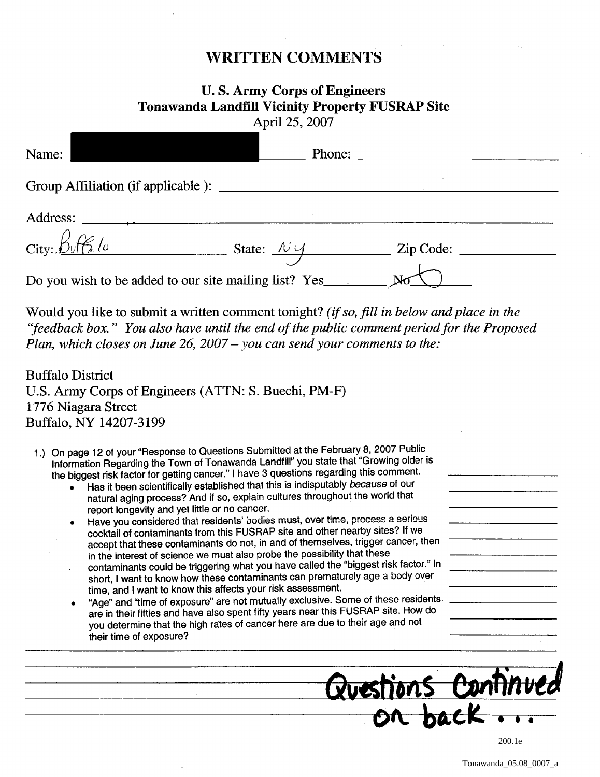## WRITTEN COMMENTS

## U. S. Army Corps of Engineers Tonawanda Landfill Vicinity Property FUSRAP Site April 25, 2007

| Name:                                                  | Phone:                           |           |  |
|--------------------------------------------------------|----------------------------------|-----------|--|
|                                                        |                                  |           |  |
| Address:                                               |                                  |           |  |
| $City: \frac{\beta \sqrt{f^2}}{g}$                     | State: $\mathcal{N} \mathcal{Y}$ | Zip Code: |  |
| Do you wish to be added to our site mailing list? Yes_ |                                  |           |  |

Would you like to submit a written comment tonight? *(if so, fill in below and place in the*  "feedback box." You also have until the end of the public comment period for the Proposed *Plan, which closes on June* 26, *2007* - *you can send your comments to the:* 

Buffalo District U.S. Army Corps of Engineers (ATTN: S. Buechi, PM-F) 1776 Niagara Street Buffalo, NY 14207-3199

- 1.) On page 12 of your "Response to Questions Submitted at the February 8, 2007 Public Information Regarding the Town of Tonawanda Landfill" you state that "Growing older is the biggest risk factor for getting cancer." I have 3 questions regarding this comment.
	- Has it been scientifically established that this is indisputably because of our natural aging process? And if so, explain cultures throughout the world that report longevity and yet little or no cancer.
	- Have you considered that residents' bodies must, over time, process a serious cocktail of contaminants from this FUSRAP site and other nearby sites? If we accept that these contaminants do not, in and of themselves, trigger cancer, then in the interest of science we must also probe the possibility that these
	- contaminants could be triggering what you have called the "biggest risk factor." In short, I want to know how these contaminants can prematurely age a body over time, and I want to know this affects your risk assessment.
	- "Age" and "time of exposure" are not mutually exclusive. Some of these residents are in their fifties and have also spent fifty years near this FUSRAP site. How do you determine that the high rates of cancer here are due to their age and not their time of exposure?



Tonawanda\_05.08\_0007\_a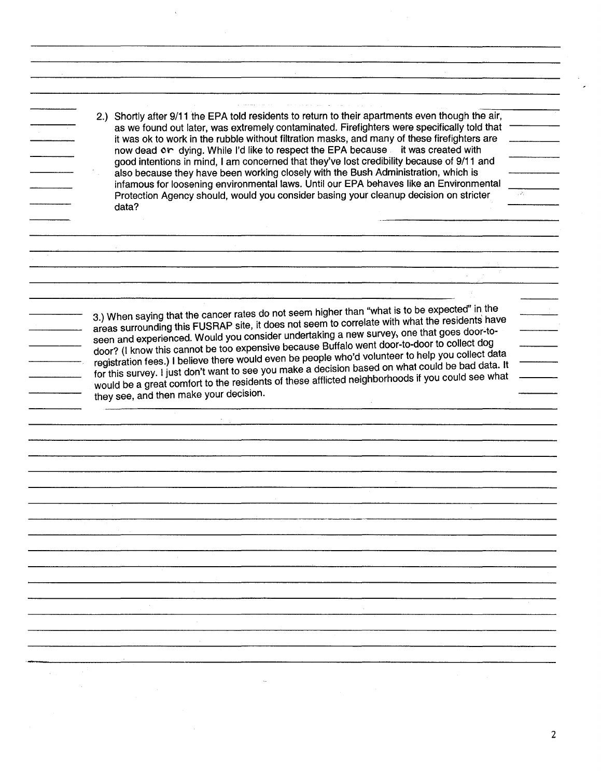2.) Shortly after 9/11 the EPA told residents to return to their apartments even though the air, as we found out later, was extremely contaminated. Firefighters were specifically told that it was ok to work in the rubble without filtration masks, and many of these firefighters are now dead or dying. While I'd like to respect the EPA because it was created with good intentions in mind, I am concerned that they've lost credibility because of 9/11 and also because they have been working closely with the Bush Administration, which is infamous for loosening environmental laws. Until our EPA behaves like an Environmental Protection Agency should, would you consider basing your cleanup decision on stricter data?

3.) When saying that the cancer rates do not seem higher than "what is to be expected" in the areas surrounding this FUSRAP site, it does not seem to correlate with what the residents have seen and experienced. Would you consider undertaking a new survey, one that goes door-todoor? (I know this cannot be too expensive because Buffalo went door-to-door to collect dog registration fees.) I believe there would even be people who'd volunteer to help you collect data for this survey. I just don't want to see you make a decision based on what could be bad data. It would be a great comfort to the residents of these afflicted neighborhoods if you could see what they see, and then make your decision.

 $\sim$